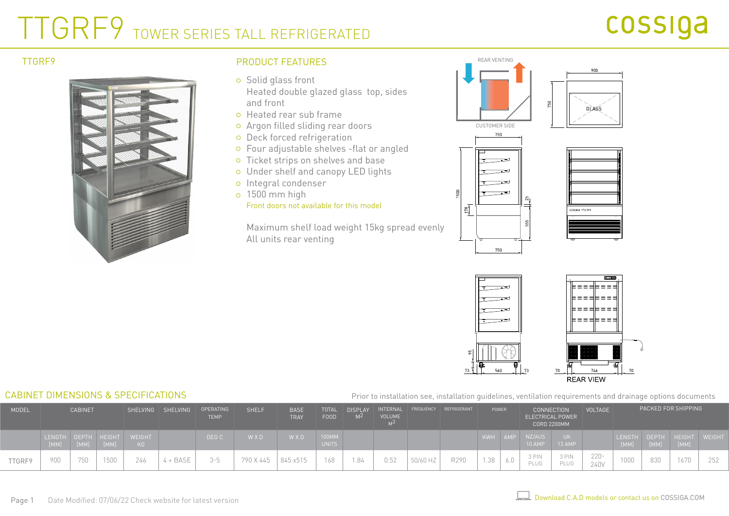# TTGRF9 TOWER SERIES TALL REFRIGERATED



## PRODUCT FEATURES REAR VENTING TTGRF9

- o Solid glass front Heated double glazed glass top, sides and front
- Heated rear sub frame
- Argon filled sliding rear doors
- o Deck forced refrigeration
- Four adjustable shelves -flat or angled
- o Ticket strips on shelves and base
- Under shelf and canopy LED lights
- o Integral condenser
- 1500 mm high Front doors not available for this model

Maximum shelf load weight 15kg spread evenly All units rear venting







### CABINET DIMENSIONS & SPECIFICATIONS

#### Prior to installation see, installation guidelines, ventilation requirements and drainage options documents

| MODEL  | <b>CABINET</b> |      |                      | SHELVING SHELVING   | <b>OPERATING</b><br><b>TEMP</b> | <b>SHELF</b> | <b>BASE</b><br><b>TRAY</b> | <b>TOTAL</b><br><b>FOOD</b> | <b>DISPLAY</b>              | INTERNAL<br><b>VOLUME</b> |      | FREQUENCY REFRIGERANT | POWER        |            |     |                  | <b>CONNECTION</b><br><b>ELECTRICAL POWER</b><br><b>CORD 2200MM</b> |                 | <b>VOLTAGE</b> | PACKED FOR SHIPPING |                             |     |
|--------|----------------|------|----------------------|---------------------|---------------------------------|--------------|----------------------------|-----------------------------|-----------------------------|---------------------------|------|-----------------------|--------------|------------|-----|------------------|--------------------------------------------------------------------|-----------------|----------------|---------------------|-----------------------------|-----|
|        | LENGTH         | [MM] | DEPTH HEIGHT<br>[MM] | <b>WEIGHT</b><br>KG |                                 | DEG C        | <b>WXD</b>                 | W X D'                      | 100MM<br>UNITS <sup>1</sup> |                           |      |                       |              | <b>KWH</b> | AMP | NZ/AUS<br>10 AMP | 13 AMP                                                             |                 | LENGTH<br>[MM] | [MM]                | DEPTH HEIGHT WEIGHT<br>[MM] |     |
| TTGRF9 | 900            | 750  | 1500                 | 246                 | + BASE                          | $-5$         | 790 X 445                  | 845 x515                    | 168                         | .84                       | 0.52 | 50/60 HZ              | D000<br>R290 | 1.38       |     | 3 PIN<br>PLUG    | 3 PIN<br>PLUG                                                      | $220 -$<br>240V | 1000           | 830                 | 16/U                        | 252 |